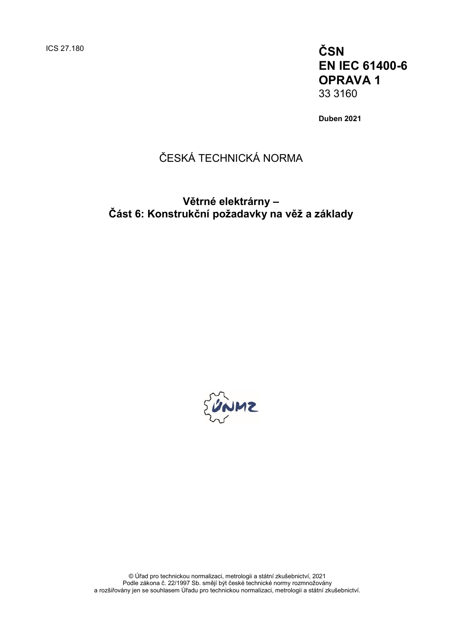ICS 27.180 **ČSN EN IEC 61400-6 OPRAVA 1** 33 3160

**Duben 2021**

## ČESKÁ TECHNICKÁ NORMA

### **Větrné elektrárny – Část 6: Konstrukční požadavky na věž a základy**



© Úřad pro technickou normalizaci, metrologii a státní zkušebnictví, 2021 Podle zákona č. 22/1997 Sb. smějí být české technické normy rozmnožovány a rozšiřovány jen se souhlasem Úřadu pro technickou normalizaci, metrologii a státní zkušebnictví.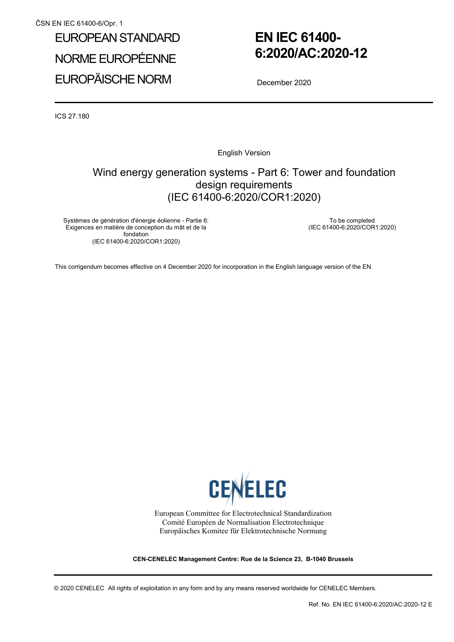# EUROPEAN STANDARD NORME EUROPÉENNE EUROPÄISCHE NORM

## **EN IEC 61400- 6:2020/AC:2020-12**

December 2020

ICS 27.180

English Version

### Wind energy generation systems - Part 6: Tower and foundation design requirements (IEC 61400-6:2020/COR1:2020)

Systèmes de génération d'énergie éolienne - Partie 6: Exigences en matière de conception du mât et de la fondation (IEC 61400-6:2020/COR1:2020)

 To be completed (IEC 61400-6:2020/COR1:2020)

This corrigendum becomes effective on 4 December 2020 for incorporation in the English language version of the EN.



European Committee for Electrotechnical Standardization Comité Européen de Normalisation Electrotechnique Europäisches Komitee für Elektrotechnische Normung

**CEN-CENELEC Management Centre: Rue de la Science 23, B-1040 Brussels** 

© 2020 CENELEC All rights of exploitation in any form and by any means reserved worldwide for CENELEC Members.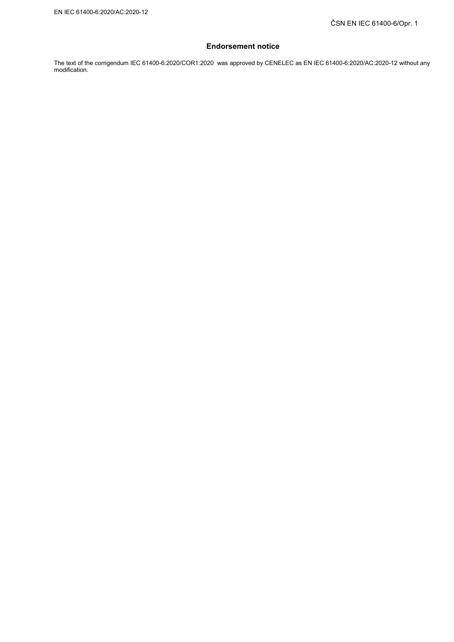#### **Endorsement notice**

The text of the corrigendum IEC 61400-6:2020/COR1:2020 was approved by CENELEC as EN IEC 61400-6:2020/AC:2020-12 without any modification.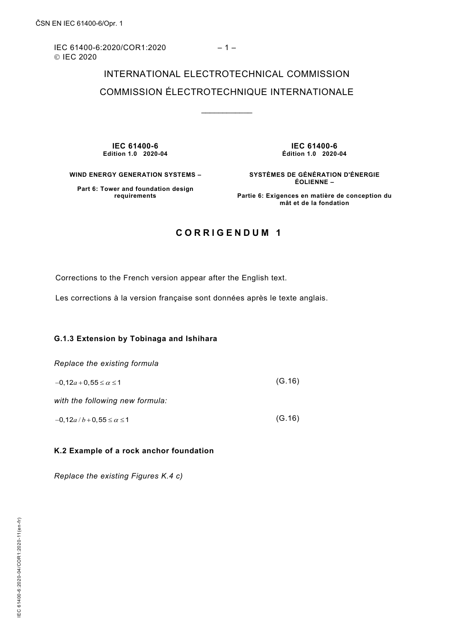IEC 61400-6:2020/COR1:2020 – 1 – © IEC 2020

## INTERNATIONAL ELECTROTECHNICAL COMMISSION COMMISSION ÉLECTROTECHNIQUE INTERNATIONALE

\_\_\_\_\_\_\_\_\_\_\_\_

**IEC 61400-6 Edition 1.0 2020-04**

**IEC 61400-6 Édition 1.0 2020-04**

**WIND ENERGY GENERATION SYSTEMS –** 

**SYSTÈMES DE GÉNÉRATION D'ÉNERGIE ÉOLIENNE –** 

**Part 6: Tower and foundation design requirements**

**Partie 6: Exigences en matière de conception du mât et de la fondation**

### **CORRIGENDUM 1**

Corrections to the French version appear after the English text.

Les corrections à la version française sont données après le texte anglais.

#### **G.1.3 Extension by Tobinaga and Ishihara**

*Replace the existing formula*

 $-0.12a + 0.55 \le \alpha \le 1$  (G.16)

*with the following new formula:*

 $-0.12a/b+0.55 \le \alpha \le 1$  (G.16)

#### **K.2 Example of a rock anchor foundation**

*Replace the existing Figures K.4 c)*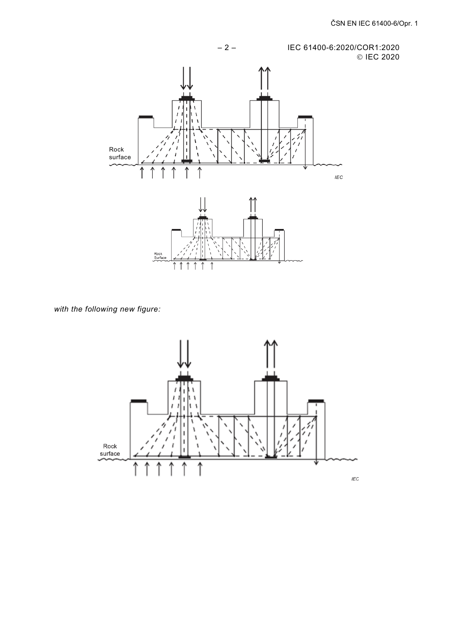

with the following new figure:

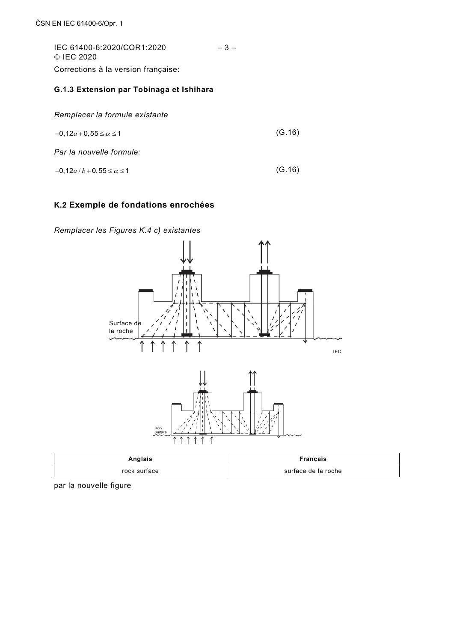IEC 61400-6:2020/COR1:2020 – 3 – © IEC 2020 Corrections à la version française:

### **G.1.3 Extension par Tobinaga et Ishihara**

| $-0, 12a + 0, 55 \le \alpha \le 1$ | (G.16) |
|------------------------------------|--------|
|                                    |        |

*Par la nouvelle formule:* 

 $-0.12a/b+0.55 \le \alpha \le 1$  (G.16)

### **K.2 Exemple de fondations enrochées**

*Remplacer les Figures K.4 c) existantes*



| Anglais      | Français            |
|--------------|---------------------|
| rock surface | surface de la roche |

par la nouvelle figure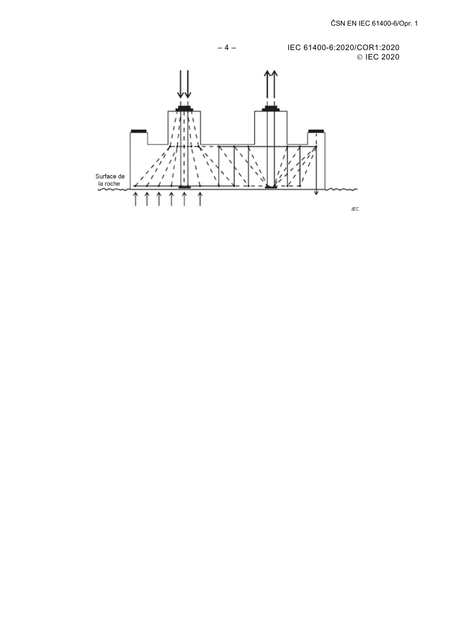